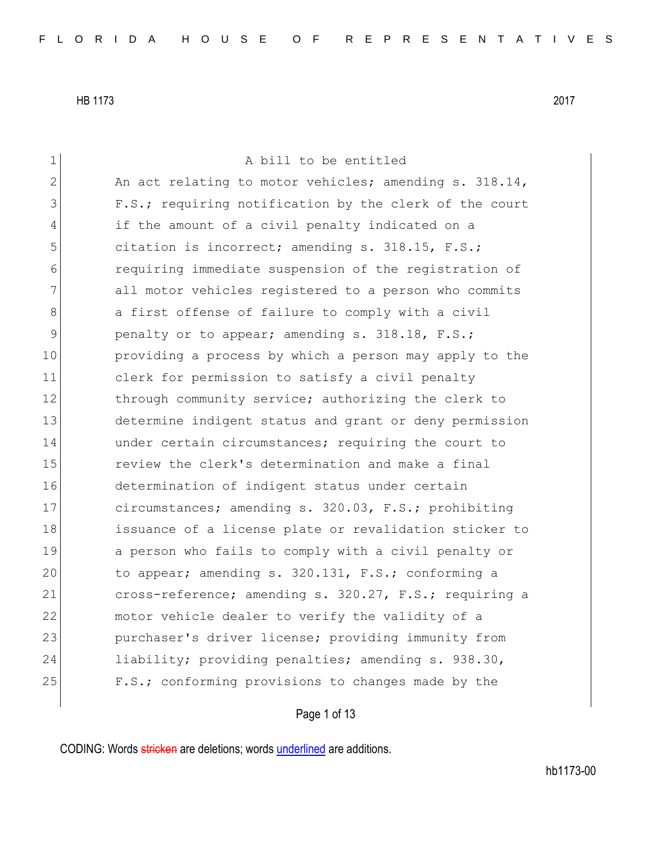| $\mathbf 1$ | A bill to be entitled                                  |
|-------------|--------------------------------------------------------|
| 2           | An act relating to motor vehicles; amending s. 318.14, |
| 3           | F.S.; requiring notification by the clerk of the court |
| 4           | if the amount of a civil penalty indicated on a        |
| 5           | citation is incorrect; amending s. 318.15, F.S.;       |
| 6           | requiring immediate suspension of the registration of  |
| 7           | all motor vehicles registered to a person who commits  |
| 8           | a first offense of failure to comply with a civil      |
| 9           | penalty or to appear; amending s. 318.18, F.S.;        |
| 10          | providing a process by which a person may apply to the |
| 11          | clerk for permission to satisfy a civil penalty        |
| 12          | through community service; authorizing the clerk to    |
| 13          | determine indigent status and grant or deny permission |
| 14          | under certain circumstances; requiring the court to    |
| 15          | review the clerk's determination and make a final      |
| 16          | determination of indigent status under certain         |
| 17          | circumstances; amending s. 320.03, F.S.; prohibiting   |
| 18          | issuance of a license plate or revalidation sticker to |
| 19          | a person who fails to comply with a civil penalty or   |
| 20          | to appear; amending s. 320.131, F.S.; conforming a     |
| 21          | cross-reference; amending s. 320.27, F.S.; requiring a |
| 22          | motor vehicle dealer to verify the validity of a       |
| 23          | purchaser's driver license; providing immunity from    |
| 24          | liability; providing penalties; amending s. 938.30,    |
| 25          | F.S.; conforming provisions to changes made by the     |
|             |                                                        |

Page 1 of 13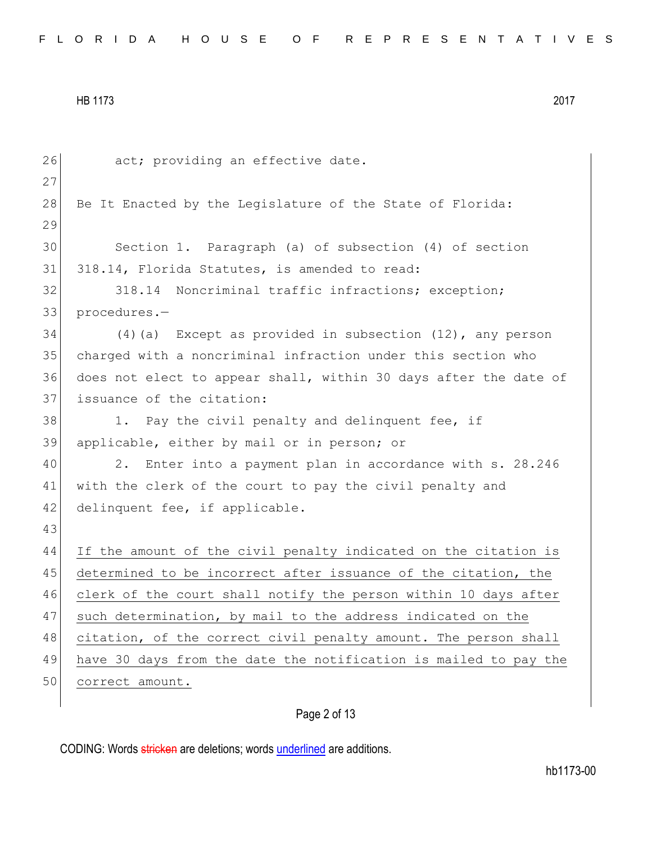| 26 | act; providing an effective date.                                |
|----|------------------------------------------------------------------|
| 27 |                                                                  |
| 28 | Be It Enacted by the Leqislature of the State of Florida:        |
| 29 |                                                                  |
| 30 | Section 1. Paragraph (a) of subsection (4) of section            |
| 31 | 318.14, Florida Statutes, is amended to read:                    |
| 32 | Noncriminal traffic infractions; exception;<br>318.14            |
| 33 | procedures.-                                                     |
| 34 | $(4)$ (a) Except as provided in subsection $(12)$ , any person   |
| 35 | charged with a noncriminal infraction under this section who     |
| 36 | does not elect to appear shall, within 30 days after the date of |
| 37 | issuance of the citation:                                        |
| 38 | 1. Pay the civil penalty and delinquent fee, if                  |
| 39 | applicable, either by mail or in person; or                      |
| 40 | Enter into a payment plan in accordance with s. 28.246<br>2.     |
| 41 | with the clerk of the court to pay the civil penalty and         |
| 42 | delinquent fee, if applicable.                                   |
| 43 |                                                                  |
| 44 | If the amount of the civil penalty indicated on the citation is  |
| 45 | determined to be incorrect after issuance of the citation, the   |
| 46 | clerk of the court shall notify the person within 10 days after  |
| 47 | such determination, by mail to the address indicated on the      |
| 48 | citation, of the correct civil penalty amount. The person shall  |
| 49 | have 30 days from the date the notification is mailed to pay the |
| 50 | correct amount.                                                  |
|    |                                                                  |

# Page 2 of 13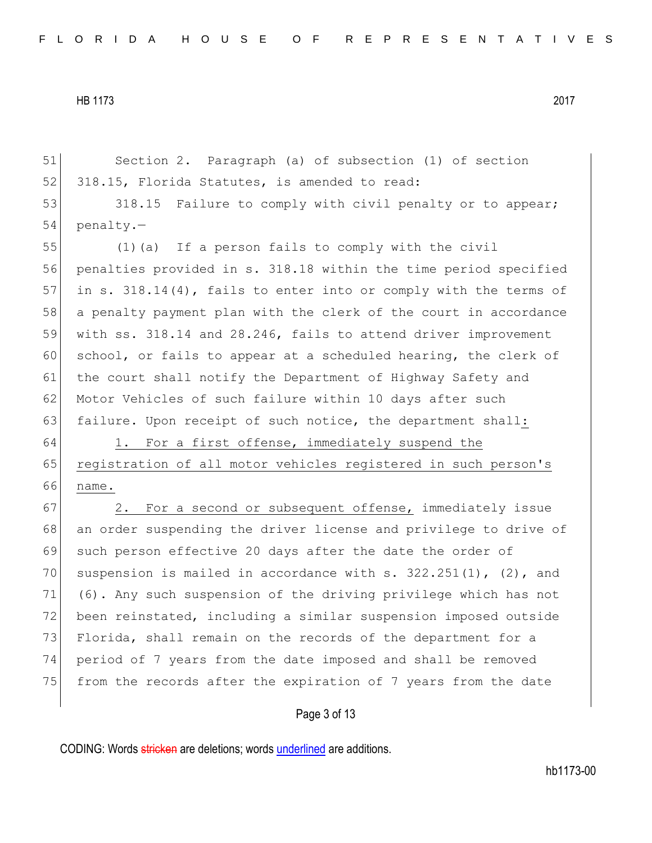51 Section 2. Paragraph (a) of subsection (1) of section 52 318.15, Florida Statutes, is amended to read: 53 318.15 Failure to comply with civil penalty or to appear; 54 penalty.— 55 (1)(a) If a person fails to comply with the civil 56 penalties provided in s. 318.18 within the time period specified 57 in s. 318.14(4), fails to enter into or comply with the terms of 58 a penalty payment plan with the clerk of the court in accordance 59 with ss. 318.14 and 28.246, fails to attend driver improvement 60 school, or fails to appear at a scheduled hearing, the clerk of 61 the court shall notify the Department of Highway Safety and 62 Motor Vehicles of such failure within 10 days after such 63 failure. Upon receipt of such notice, the department shall: 64 1. For a first offense, immediately suspend the 65 registration of all motor vehicles registered in such person's 66 name. 67 2. For a second or subsequent offense, immediately issue 68 an order suspending the driver license and privilege to drive of 69 such person effective 20 days after the date the order of 70 suspension is mailed in accordance with s.  $322.251(1)$ , (2), and 71 (6). Any such suspension of the driving privilege which has not 72 been reinstated, including a similar suspension imposed outside 73 Florida, shall remain on the records of the department for a 74 period of 7 years from the date imposed and shall be removed 75 from the records after the expiration of 7 years from the date

## Page 3 of 13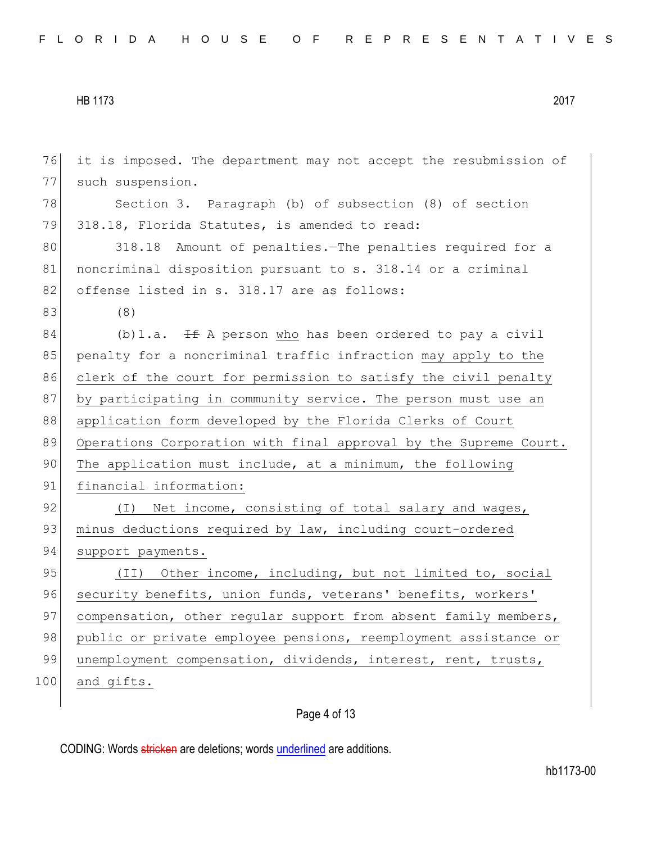| 76  | it is imposed. The department may not accept the resubmission of |
|-----|------------------------------------------------------------------|
| 77  | such suspension.                                                 |
| 78  | Section 3. Paragraph (b) of subsection (8) of section            |
| 79  | 318.18, Florida Statutes, is amended to read:                    |
| 80  | 318.18 Amount of penalties. The penalties required for a         |
| 81  | noncriminal disposition pursuant to s. 318.14 or a criminal      |
| 82  | offense listed in s. 318.17 are as follows:                      |
| 83  | (8)                                                              |
| 84  | (b) 1.a. $\pm$ A person who has been ordered to pay a civil      |
| 85  | penalty for a noncriminal traffic infraction may apply to the    |
| 86  | clerk of the court for permission to satisfy the civil penalty   |
| 87  | by participating in community service. The person must use an    |
| 88  | application form developed by the Florida Clerks of Court        |
| 89  | Operations Corporation with final approval by the Supreme Court. |
| 90  | The application must include, at a minimum, the following        |
| 91  | financial information:                                           |
| 92  | (I) Net income, consisting of total salary and wages,            |
| 93  | minus deductions required by law, including court-ordered        |
| 94  | support payments.                                                |
| 95  | (II) Other income, including, but not limited to, social         |
| 96  | security benefits, union funds, veterans' benefits, workers'     |
| 97  | compensation, other regular support from absent family members,  |
| 98  | public or private employee pensions, reemployment assistance or  |
| 99  | unemployment compensation, dividends, interest, rent, trusts,    |
| 100 | and gifts.                                                       |
|     |                                                                  |

# Page 4 of 13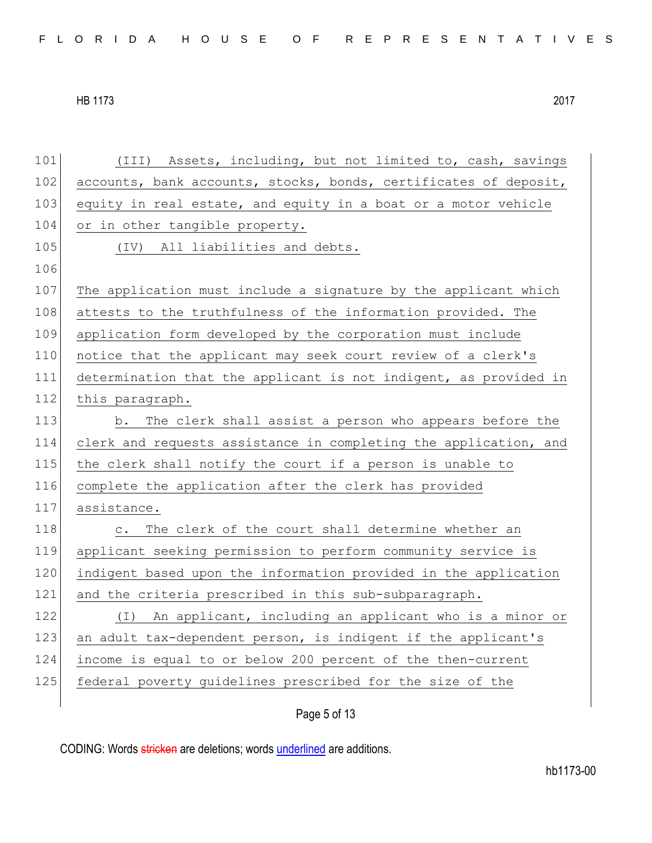| 101 | (III) Assets, including, but not limited to, cash, savings          |
|-----|---------------------------------------------------------------------|
| 102 | accounts, bank accounts, stocks, bonds, certificates of deposit,    |
| 103 | equity in real estate, and equity in a boat or a motor vehicle      |
| 104 | or in other tangible property.                                      |
| 105 | (IV) All liabilities and debts.                                     |
| 106 |                                                                     |
| 107 | The application must include a signature by the applicant which     |
| 108 | attests to the truthfulness of the information provided. The        |
| 109 | application form developed by the corporation must include          |
| 110 | notice that the applicant may seek court review of a clerk's        |
| 111 | determination that the applicant is not indigent, as provided in    |
| 112 | this paragraph.                                                     |
| 113 | b. The clerk shall assist a person who appears before the           |
| 114 | clerk and requests assistance in completing the application, and    |
| 115 | the clerk shall notify the court if a person is unable to           |
| 116 | complete the application after the clerk has provided               |
| 117 | assistance.                                                         |
| 118 | The clerk of the court shall determine whether an<br>$\mathtt{C}$ . |
| 119 | applicant seeking permission to perform community service is        |
| 120 | indigent based upon the information provided in the application     |
| 121 | and the criteria prescribed in this sub-subparagraph.               |
| 122 | An applicant, including an applicant who is a minor or<br>(I)       |
| 123 | an adult tax-dependent person, is indigent if the applicant's       |
| 124 | income is equal to or below 200 percent of the then-current         |
| 125 | federal poverty quidelines prescribed for the size of the           |
|     |                                                                     |

Page 5 of 13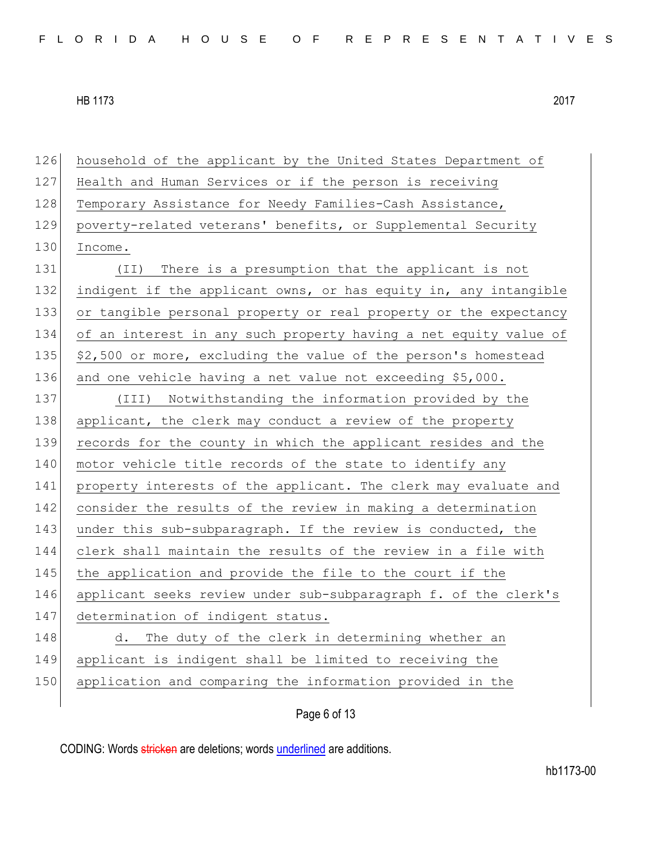126 household of the applicant by the United States Department of 127 Health and Human Services or if the person is receiving 128 Temporary Assistance for Needy Families-Cash Assistance, 129 poverty-related veterans' benefits, or Supplemental Security 130 Income. 131 (II) There is a presumption that the applicant is not 132 indigent if the applicant owns, or has equity in, any intangible 133 or tangible personal property or real property or the expectancy 134 of an interest in any such property having a net equity value of 135  $\frac{135}{135}$  \$2,500 or more, excluding the value of the person's homestead 136 and one vehicle having a net value not exceeding \$5,000. 137 (III) Notwithstanding the information provided by the 138 applicant, the clerk may conduct a review of the property 139 records for the county in which the applicant resides and the 140 motor vehicle title records of the state to identify any 141 property interests of the applicant. The clerk may evaluate and 142 consider the results of the review in making a determination 143 under this sub-subparagraph. If the review is conducted, the 144 clerk shall maintain the results of the review in a file with 145 the application and provide the file to the court if the 146 applicant seeks review under sub-subparagraph f. of the clerk's 147 determination of indigent status. 148 d. The duty of the clerk in determining whether an 149 applicant is indigent shall be limited to receiving the 150 application and comparing the information provided in the

Page 6 of 13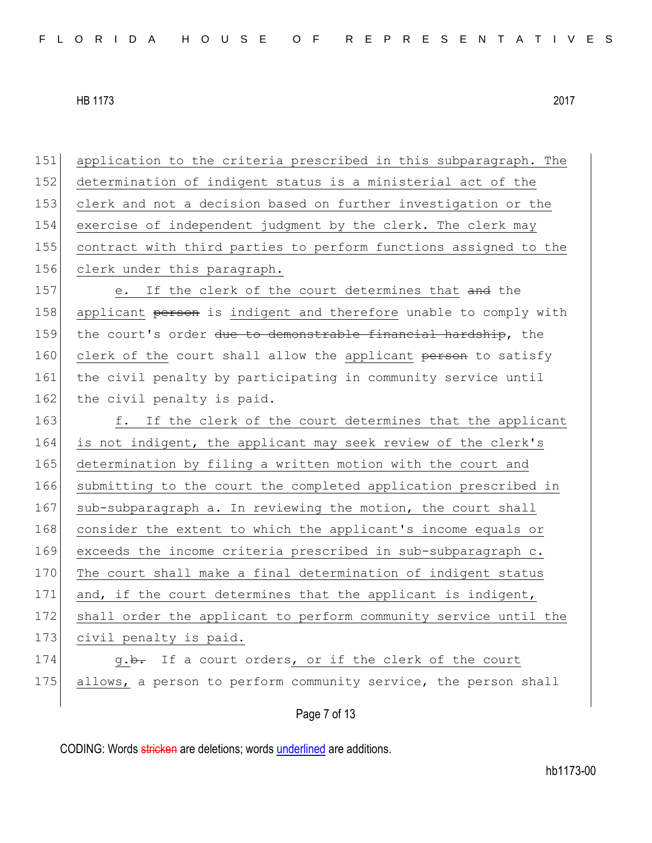151 application to the criteria prescribed in this subparagraph. The 152 determination of indigent status is a ministerial act of the 153 clerk and not a decision based on further investigation or the 154 exercise of independent judgment by the clerk. The clerk may 155 contract with third parties to perform functions assigned to the 156 clerk under this paragraph. 157 e. If the clerk of the court determines that and the 158 applicant person is indigent and therefore unable to comply with 159 the court's order due to demonstrable financial hardship, the 160 clerk of the court shall allow the applicant person to satisfy 161 the civil penalty by participating in community service until 162 the civil penalty is paid. 163 f. If the clerk of the court determines that the applicant 164 is not indigent, the applicant may seek review of the clerk's 165 determination by filing a written motion with the court and 166 submitting to the court the completed application prescribed in 167 sub-subparagraph a. In reviewing the motion, the court shall 168 consider the extent to which the applicant's income equals or 169 exceeds the income criteria prescribed in sub-subparagraph c. 170 The court shall make a final determination of indigent status 171 and, if the court determines that the applicant is indigent, 172 shall order the applicant to perform community service until the 173 civil penalty is paid. 174 g.b. If a court orders, or if the clerk of the court 175 allows, a person to perform community service, the person shall

Page 7 of 13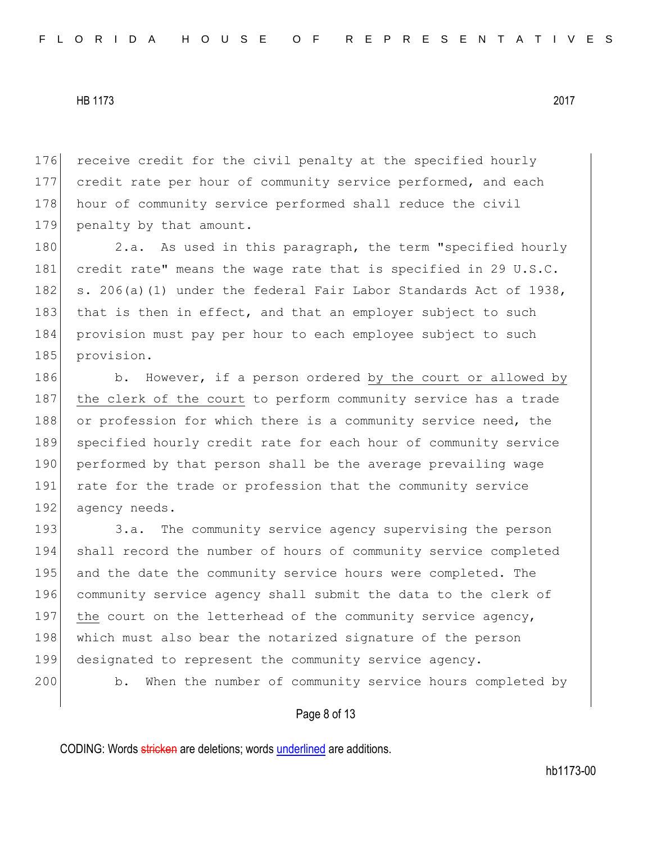176 receive credit for the civil penalty at the specified hourly 177 credit rate per hour of community service performed, and each 178 hour of community service performed shall reduce the civil 179 penalty by that amount.

180 2.a. As used in this paragraph, the term "specified hourly 181 credit rate" means the wage rate that is specified in 29 U.S.C. 182 s. 206(a)(1) under the federal Fair Labor Standards Act of 1938, 183 that is then in effect, and that an employer subject to such 184 provision must pay per hour to each employee subject to such 185 provision.

186 b. However, if a person ordered by the court or allowed by 187 the clerk of the court to perform community service has a trade 188 or profession for which there is a community service need, the 189 specified hourly credit rate for each hour of community service 190 performed by that person shall be the average prevailing wage 191 rate for the trade or profession that the community service 192 agency needs.

193 3.a. The community service agency supervising the person 194 shall record the number of hours of community service completed 195 and the date the community service hours were completed. The 196 community service agency shall submit the data to the clerk of 197 the court on the letterhead of the community service agency, 198 which must also bear the notarized signature of the person 199 designated to represent the community service agency. 200 b. When the number of community service hours completed by

### Page 8 of 13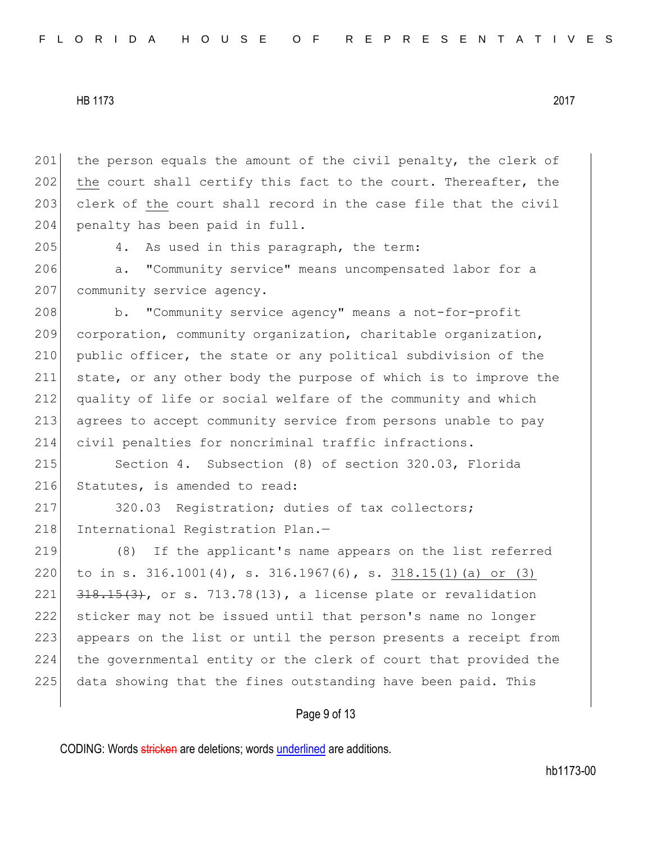201 the person equals the amount of the civil penalty, the clerk of 202 the court shall certify this fact to the court. Thereafter, the 203 clerk of the court shall record in the case file that the civil 204 penalty has been paid in full.

205 4. As used in this paragraph, the term:

206 a. "Community service" means uncompensated labor for a 207 community service agency.

208 b. "Community service agency" means a not-for-profit 209 corporation, community organization, charitable organization, 210 public officer, the state or any political subdivision of the 211 state, or any other body the purpose of which is to improve the 212 quality of life or social welfare of the community and which 213 agrees to accept community service from persons unable to pay 214 civil penalties for noncriminal traffic infractions.

215 Section 4. Subsection (8) of section 320.03, Florida 216 Statutes, is amended to read:

217 320.03 Registration; duties of tax collectors; 218 International Registration Plan.-

 (8) If the applicant's name appears on the list referred to in s. 316.1001(4), s. 316.1967(6), s. 318.15(1)(a) or (3)  $\left[318, 15(3), 005, 713, 78(13), a\right]$  license plate or revalidation sticker may not be issued until that person's name no longer 223 appears on the list or until the person presents a receipt from the governmental entity or the clerk of court that provided the 225 data showing that the fines outstanding have been paid. This

### Page 9 of 13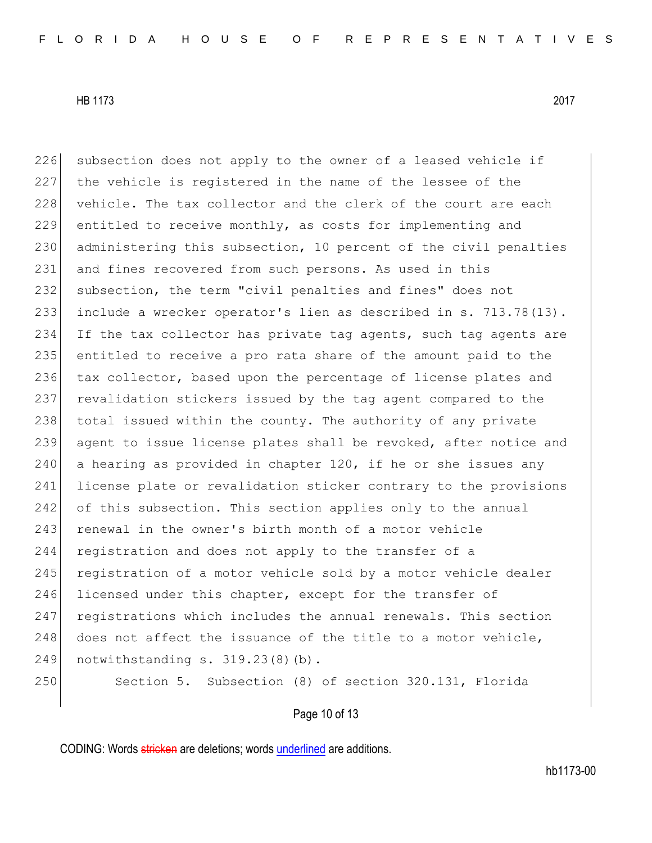226 subsection does not apply to the owner of a leased vehicle if

HB 1173 2017

227 the vehicle is registered in the name of the lessee of the 228 vehicle. The tax collector and the clerk of the court are each 229 entitled to receive monthly, as costs for implementing and 230 administering this subsection, 10 percent of the civil penalties 231 and fines recovered from such persons. As used in this 232 subsection, the term "civil penalties and fines" does not 233 include a wrecker operator's lien as described in s. 713.78(13). 234 If the tax collector has private tag agents, such tag agents are 235 entitled to receive a pro rata share of the amount paid to the 236 tax collector, based upon the percentage of license plates and 237 revalidation stickers issued by the tag agent compared to the 238 total issued within the county. The authority of any private 239 agent to issue license plates shall be revoked, after notice and 240 a hearing as provided in chapter 120, if he or she issues any 241 license plate or revalidation sticker contrary to the provisions 242 of this subsection. This section applies only to the annual 243 renewal in the owner's birth month of a motor vehicle 244 registration and does not apply to the transfer of a

245 registration of a motor vehicle sold by a motor vehicle dealer 246 licensed under this chapter, except for the transfer of 247 registrations which includes the annual renewals. This section 248 does not affect the issuance of the title to a motor vehicle, 249 notwithstanding s. 319.23(8)(b).

250 Section 5. Subsection (8) of section 320.131, Florida

Page 10 of 13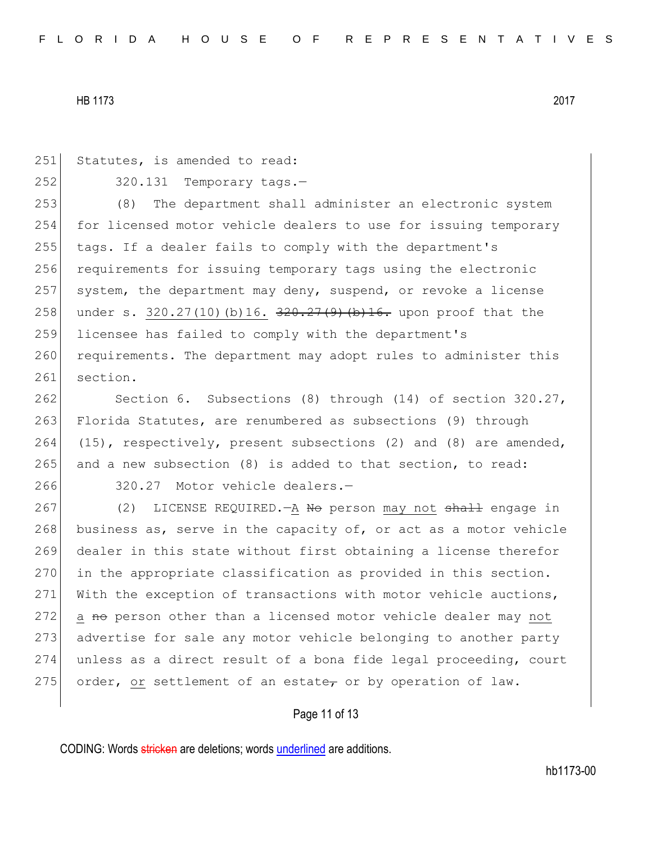251 Statutes, is amended to read:  $252$   $320.131$  Temporary tags. 253 (8) The department shall administer an electronic system 254 for licensed motor vehicle dealers to use for issuing temporary 255 tags. If a dealer fails to comply with the department's 256 requirements for issuing temporary tags using the electronic 257 system, the department may deny, suspend, or revoke a license 258 under s. 320.27(10)(b)16.  $\frac{320.27(9)}{100}$  (b)16. upon proof that the 259 licensee has failed to comply with the department's 260 requirements. The department may adopt rules to administer this 261 section. 262 Section 6. Subsections (8) through (14) of section 320.27,

263 Florida Statutes, are renumbered as subsections (9) through 264 (15), respectively, present subsections (2) and (8) are amended, 265 and a new subsection (8) is added to that section, to read:

266 320.27 Motor vehicle dealers.-

267 (2) LICENSE REQUIRED.—A No person may not shall engage in 268 business as, serve in the capacity of, or act as a motor vehicle 269 dealer in this state without first obtaining a license therefor 270 in the appropriate classification as provided in this section. 271 With the exception of transactions with motor vehicle auctions, 272 a no person other than a licensed motor vehicle dealer may not 273 advertise for sale any motor vehicle belonging to another party 274 unless as a direct result of a bona fide legal proceeding, court 275 order, or settlement of an estate, or by operation of law.

## Page 11 of 13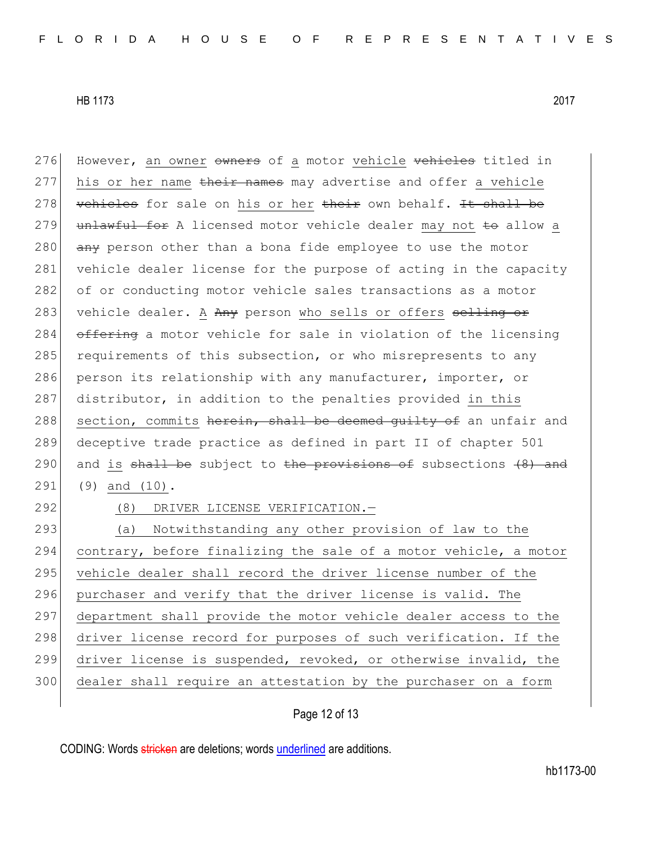276 However, an owner owners of a motor vehicle vehicles titled in 277 his or her name their names may advertise and offer a vehicle 278 vehicles for sale on his or her their own behalf. It shall be 279 unlawful for A licensed motor vehicle dealer may not to allow a 280  $\overline{any}$  person other than a bona fide employee to use the motor 281 vehicle dealer license for the purpose of acting in the capacity 282 of or conducting motor vehicle sales transactions as a motor 283 vehicle dealer. A Any person who sells or offers selling or

284 offering a motor vehicle for sale in violation of the licensing 285 requirements of this subsection, or who misrepresents to any 286 person its relationship with any manufacturer, importer, or 287 distributor, in addition to the penalties provided in this 288 section, commits herein, shall be deemed quilty of an unfair and 289 deceptive trade practice as defined in part II of chapter 501 290 and is shall be subject to the provisions of subsections  $(8)$  and 291 (9) and (10).

292 (8) DRIVER LICENSE VERIFICATION.

 (a) Notwithstanding any other provision of law to the 294 contrary, before finalizing the sale of a motor vehicle, a motor 295 vehicle dealer shall record the driver license number of the purchaser and verify that the driver license is valid. The department shall provide the motor vehicle dealer access to the 298 driver license record for purposes of such verification. If the driver license is suspended, revoked, or otherwise invalid, the dealer shall require an attestation by the purchaser on a form